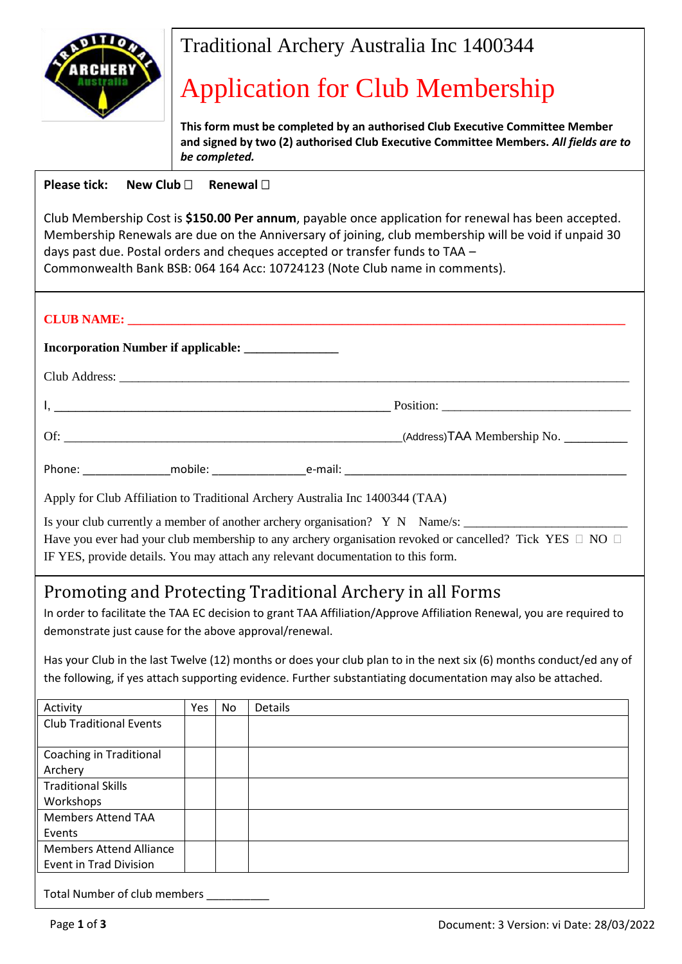

## Traditional Archery Australia Inc 1400344

## Application for Club Membership

**This form must be completed by an authorised Club Executive Committee Member and signed by two (2) authorised Club Executive Committee Members.** *All fields are to be completed.*

## **Please tick: New Club <b>Bullet Renewal D**

Club Membership Cost is **\$150.00 Per annum**, payable once application for renewal has been accepted. Membership Renewals are due on the Anniversary of joining, club membership will be void if unpaid 30 days past due. Postal orders and cheques accepted or transfer funds to TAA – Commonwealth Bank BSB: 064 164 Acc: 10724123 (Note Club name in comments).

| Apply for Club Affiliation to Traditional Archery Australia Inc 1400344 (TAA)                                                                                                                          |  |  |  |  |
|--------------------------------------------------------------------------------------------------------------------------------------------------------------------------------------------------------|--|--|--|--|
| Have you ever had your club membership to any archery organisation revoked or cancelled? Tick YES $\Box$ NO $\Box$<br>IF YES, provide details. You may attach any relevant documentation to this form. |  |  |  |  |

## Promoting and Protecting Traditional Archery in all Forms

In order to facilitate the TAA EC decision to grant TAA Affiliation/Approve Affiliation Renewal, you are required to demonstrate just cause for the above approval/renewal.

Has your Club in the last Twelve (12) months or does your club plan to in the next six (6) months conduct/ed any of the following, if yes attach supporting evidence. Further substantiating documentation may also be attached.

| Activity                       | Yes | No | Details |
|--------------------------------|-----|----|---------|
| <b>Club Traditional Events</b> |     |    |         |
|                                |     |    |         |
| <b>Coaching in Traditional</b> |     |    |         |
| Archery                        |     |    |         |
| <b>Traditional Skills</b>      |     |    |         |
| Workshops                      |     |    |         |
| <b>Members Attend TAA</b>      |     |    |         |
| Events                         |     |    |         |
| <b>Members Attend Alliance</b> |     |    |         |
| <b>Event in Trad Division</b>  |     |    |         |
|                                |     |    |         |

Total Number of club members \_\_\_\_\_\_\_\_\_\_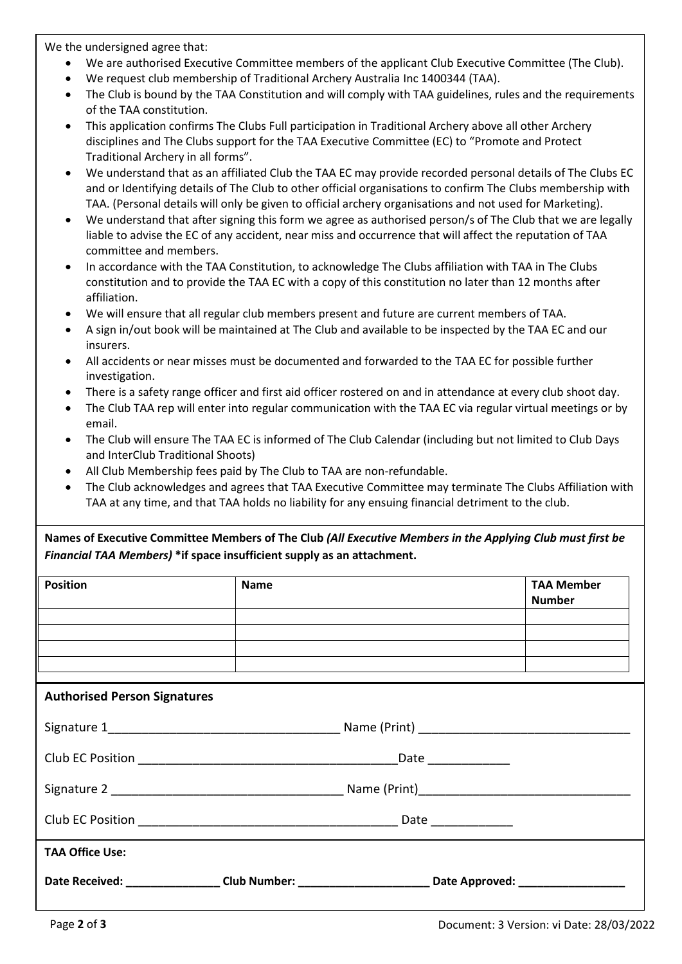We the undersigned agree that:

- We are authorised Executive Committee members of the applicant Club Executive Committee (The Club).
- We request club membership of Traditional Archery Australia Inc 1400344 (TAA).
- The Club is bound by the TAA Constitution and will comply with TAA guidelines, rules and the requirements of the TAA constitution.
- This application confirms The Clubs Full participation in Traditional Archery above all other Archery disciplines and The Clubs support for the TAA Executive Committee (EC) to "Promote and Protect Traditional Archery in all forms".
- We understand that as an affiliated Club the TAA EC may provide recorded personal details of The Clubs EC and or Identifying details of The Club to other official organisations to confirm The Clubs membership with TAA. (Personal details will only be given to official archery organisations and not used for Marketing).
- We understand that after signing this form we agree as authorised person/s of The Club that we are legally liable to advise the EC of any accident, near miss and occurrence that will affect the reputation of TAA committee and members.
- In accordance with the TAA Constitution, to acknowledge The Clubs affiliation with TAA in The Clubs constitution and to provide the TAA EC with a copy of this constitution no later than 12 months after affiliation.
- We will ensure that all regular club members present and future are current members of TAA.
- A sign in/out book will be maintained at The Club and available to be inspected by the TAA EC and our insurers.
- All accidents or near misses must be documented and forwarded to the TAA EC for possible further investigation.
- There is a safety range officer and first aid officer rostered on and in attendance at every club shoot day.
- The Club TAA rep will enter into regular communication with the TAA EC via regular virtual meetings or by email.
- The Club will ensure The TAA EC is informed of The Club Calendar (including but not limited to Club Days and InterClub Traditional Shoots)
- All Club Membership fees paid by The Club to TAA are non-refundable.
- The Club acknowledges and agrees that TAA Executive Committee may terminate The Clubs Affiliation with TAA at any time, and that TAA holds no liability for any ensuing financial detriment to the club.

**Names of Executive Committee Members of The Club** *(All Executive Members in the Applying Club must first be Financial TAA Members)* **\*if space insufficient supply as an attachment.**

| <b>Position</b>                     | Name                                                                                                           | <b>TAA Member</b><br><b>Number</b> |
|-------------------------------------|----------------------------------------------------------------------------------------------------------------|------------------------------------|
| <b>Authorised Person Signatures</b> |                                                                                                                |                                    |
|                                     |                                                                                                                |                                    |
|                                     |                                                                                                                |                                    |
|                                     |                                                                                                                |                                    |
|                                     |                                                                                                                |                                    |
| <b>TAA Office Use:</b>              |                                                                                                                |                                    |
|                                     | Date Received: ___________________Club Number: __________________________________ Date Approved: _____________ |                                    |